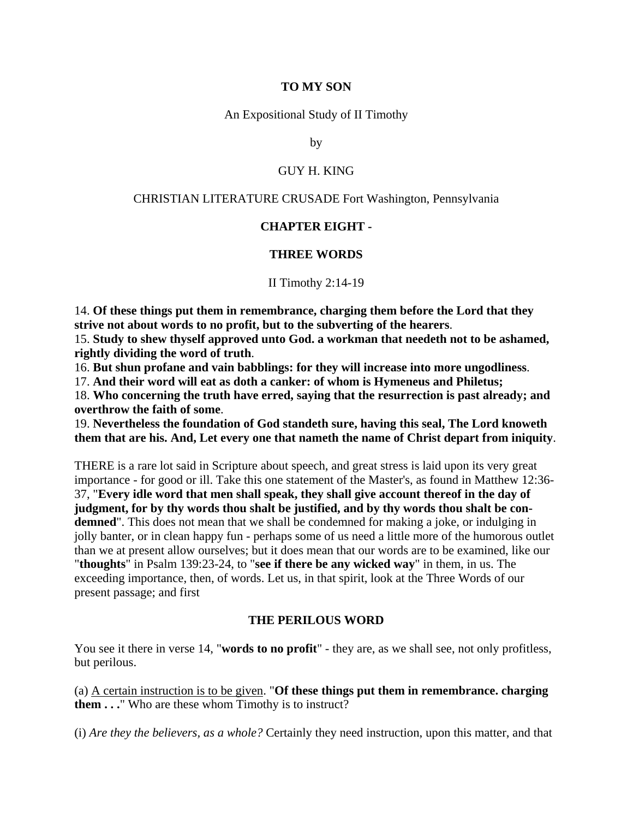## **TO MY SON**

### An Expositional Study of II Timothy

by

## GUY H. KING

### CHRISTIAN LITERATURE CRUSADE Fort Washington, Pennsylvania

### **CHAPTER EIGHT -**

#### **THREE WORDS**

II Timothy 2:14-19

14. **Of these things put them in remembrance, charging them before the Lord that they strive not about words to no profit, but to the subverting of the hearers**.

15. **Study to shew thyself approved unto God. a workman that needeth not to be ashamed, rightly dividing the word of truth**.

16. **But shun profane and vain babblings: for they will increase into more ungodliness**.

17. **And their word will eat as doth a canker: of whom is Hymeneus and Philetus;**

18. **Who concerning the truth have erred, saying that the resurrection is past already; and overthrow the faith of some**.

19. **Nevertheless the foundation of God standeth sure, having this seal, The Lord knoweth them that are his. And, Let every one that nameth the name of Christ depart from iniquity**.

THERE is a rare lot said in Scripture about speech, and great stress is laid upon its very great importance - for good or ill. Take this one statement of the Master's, as found in Matthew 12:36- 37, "**Every idle word that men shall speak, they shall give account thereof in the day of judgment, for by thy words thou shalt be justified, and by thy words thou shalt be condemned**". This does not mean that we shall be condemned for making a joke, or indulging in jolly banter, or in clean happy fun - perhaps some of us need a little more of the humorous outlet than we at present allow ourselves; but it does mean that our words are to be examined, like our "**thoughts**" in Psalm 139:23-24, to "**see if there be any wicked way**" in them, in us. The exceeding importance, then, of words. Let us, in that spirit, look at the Three Words of our present passage; and first

### **THE PERILOUS WORD**

You see it there in verse 14, "**words to no profit**" - they are, as we shall see, not only profitless, but perilous.

(a) A certain instruction is to be given. "**Of these things put them in remembrance. charging them . . .**" Who are these whom Timothy is to instruct?

(i) *Are they the believers, as a whole?* Certainly they need instruction, upon this matter, and that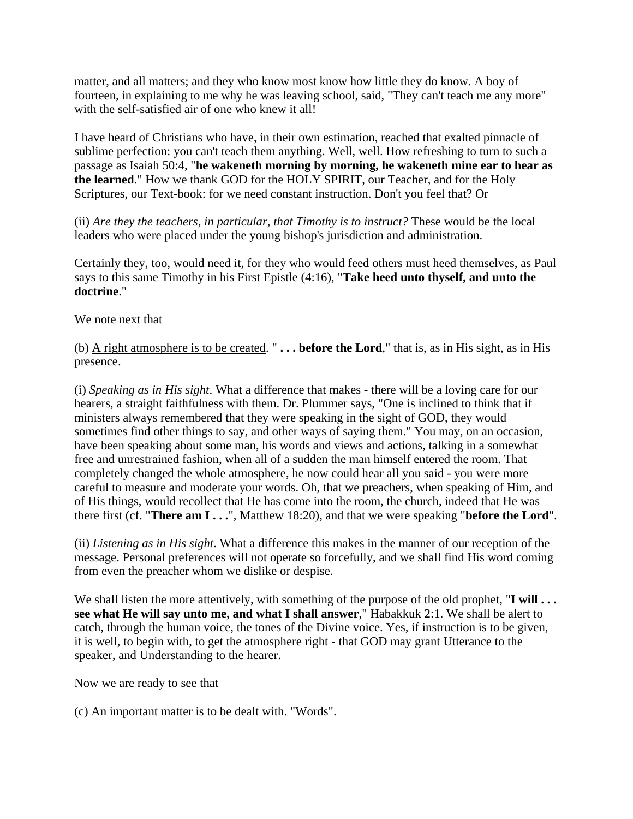matter, and all matters; and they who know most know how little they do know. A boy of fourteen, in explaining to me why he was leaving school, said, "They can't teach me any more" with the self-satisfied air of one who knew it all!

I have heard of Christians who have, in their own estimation, reached that exalted pinnacle of sublime perfection: you can't teach them anything. Well, well. How refreshing to turn to such a passage as Isaiah 50:4, "**he wakeneth morning by morning, he wakeneth mine ear to hear as the learned**." How we thank GOD for the HOLY SPIRIT, our Teacher, and for the Holy Scriptures, our Text-book: for we need constant instruction. Don't you feel that? Or

(ii) *Are they the teachers, in particular, that Timothy is to instruct?* These would be the local leaders who were placed under the young bishop's jurisdiction and administration.

Certainly they, too, would need it, for they who would feed others must heed themselves, as Paul says to this same Timothy in his First Epistle (4:16), "**Take heed unto thyself, and unto the doctrine**."

We note next that

(b) A right atmosphere is to be created. " **. . . before the Lord**," that is, as in His sight, as in His presence.

(i) *Speaking as in His sight*. What a difference that makes - there will be a loving care for our hearers, a straight faithfulness with them. Dr. Plummer says, "One is inclined to think that if ministers always remembered that they were speaking in the sight of GOD, they would sometimes find other things to say, and other ways of saying them." You may, on an occasion, have been speaking about some man, his words and views and actions, talking in a somewhat free and unrestrained fashion, when all of a sudden the man himself entered the room. That completely changed the whole atmosphere, he now could hear all you said - you were more careful to measure and moderate your words. Oh, that we preachers, when speaking of Him, and of His things, would recollect that He has come into the room, the church, indeed that He was there first (cf. "**There am I . . .**", Matthew 18:20), and that we were speaking "**before the Lord**".

(ii) *Listening as in His sight*. What a difference this makes in the manner of our reception of the message. Personal preferences will not operate so forcefully, and we shall find His word coming from even the preacher whom we dislike or despise.

We shall listen the more attentively, with something of the purpose of the old prophet, "**I will... see what He will say unto me, and what I shall answer**," Habakkuk 2:1. We shall be alert to catch, through the human voice, the tones of the Divine voice. Yes, if instruction is to be given, it is well, to begin with, to get the atmosphere right - that GOD may grant Utterance to the speaker, and Understanding to the hearer.

Now we are ready to see that

(c) An important matter is to be dealt with. "Words".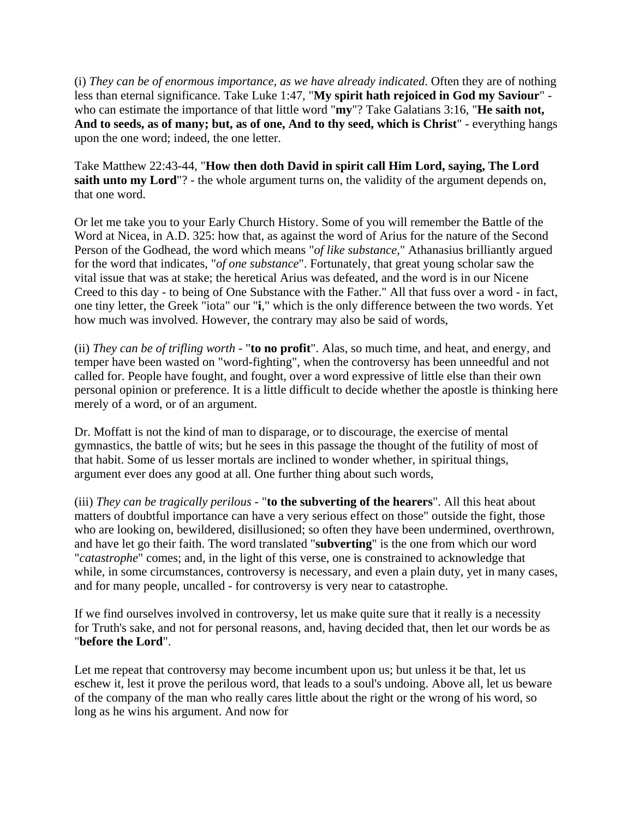(i) *They can be of enormous importance, as we have already indicated*. Often they are of nothing less than eternal significance. Take Luke 1:47, "**My spirit hath rejoiced in God my Saviour**" who can estimate the importance of that little word "**my**"? Take Galatians 3:16, "**He saith not, And to seeds, as of many; but, as of one, And to thy seed, which is Christ**" - everything hangs upon the one word; indeed, the one letter.

Take Matthew 22:43-44, "**How then doth David in spirit call Him Lord, saying, The Lord saith unto my Lord**"? - the whole argument turns on, the validity of the argument depends on, that one word.

Or let me take you to your Early Church History. Some of you will remember the Battle of the Word at Nicea, in A.D. 325: how that, as against the word of Arius for the nature of the Second Person of the Godhead, the word which means "*of like substance*," Athanasius brilliantly argued for the word that indicates, "*of one substance*". Fortunately, that great young scholar saw the vital issue that was at stake; the heretical Arius was defeated, and the word is in our Nicene Creed to this day - to being of One Substance with the Father." All that fuss over a word - in fact, one tiny letter, the Greek "iota" our "**i**," which is the only difference between the two words. Yet how much was involved. However, the contrary may also be said of words,

(ii) *They can be of trifling worth* - "**to no profit**". Alas, so much time, and heat, and energy, and temper have been wasted on "word-fighting", when the controversy has been unneedful and not called for. People have fought, and fought, over a word expressive of little else than their own personal opinion or preference. It is a little difficult to decide whether the apostle is thinking here merely of a word, or of an argument.

Dr. Moffatt is not the kind of man to disparage, or to discourage, the exercise of mental gymnastics, the battle of wits; but he sees in this passage the thought of the futility of most of that habit. Some of us lesser mortals are inclined to wonder whether, in spiritual things, argument ever does any good at all. One further thing about such words,

(iii) *They can be tragically perilous* - "**to the subverting of the hearers**". All this heat about matters of doubtful importance can have a very serious effect on those" outside the fight, those who are looking on, bewildered, disillusioned; so often they have been undermined, overthrown, and have let go their faith. The word translated "**subverting**" is the one from which our word "*catastrophe*" comes; and, in the light of this verse, one is constrained to acknowledge that while, in some circumstances, controversy is necessary, and even a plain duty, yet in many cases, and for many people, uncalled - for controversy is very near to catastrophe.

If we find ourselves involved in controversy, let us make quite sure that it really is a necessity for Truth's sake, and not for personal reasons, and, having decided that, then let our words be as "**before the Lord**".

Let me repeat that controversy may become incumbent upon us; but unless it be that, let us eschew it, lest it prove the perilous word, that leads to a soul's undoing. Above all, let us beware of the company of the man who really cares little about the right or the wrong of his word, so long as he wins his argument. And now for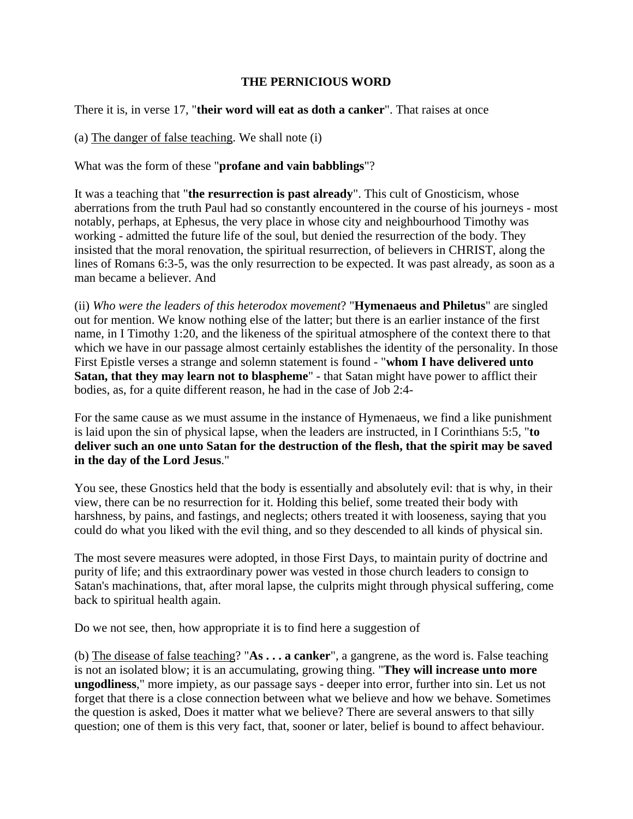# **THE PERNICIOUS WORD**

## There it is, in verse 17, "**their word will eat as doth a canker**". That raises at once

(a) The danger of false teaching. We shall note (i)

What was the form of these "**profane and vain babblings**"?

It was a teaching that "**the resurrection is past already**". This cult of Gnosticism, whose aberrations from the truth Paul had so constantly encountered in the course of his journeys - most notably, perhaps, at Ephesus, the very place in whose city and neighbourhood Timothy was working - admitted the future life of the soul, but denied the resurrection of the body. They insisted that the moral renovation, the spiritual resurrection, of believers in CHRIST, along the lines of Romans 6:3-5, was the only resurrection to be expected. It was past already, as soon as a man became a believer. And

(ii) *Who were the leaders of this heterodox movement*? "**Hymenaeus and Philetus**" are singled out for mention. We know nothing else of the latter; but there is an earlier instance of the first name, in I Timothy 1:20, and the likeness of the spiritual atmosphere of the context there to that which we have in our passage almost certainly establishes the identity of the personality. In those First Epistle verses a strange and solemn statement is found - "**whom I have delivered unto Satan, that they may learn not to blaspheme**" - that Satan might have power to afflict their bodies, as, for a quite different reason, he had in the case of Job 2:4-

For the same cause as we must assume in the instance of Hymenaeus, we find a like punishment is laid upon the sin of physical lapse, when the leaders are instructed, in I Corinthians 5:5, "**to deliver such an one unto Satan for the destruction of the flesh, that the spirit may be saved in the day of the Lord Jesus**."

You see, these Gnostics held that the body is essentially and absolutely evil: that is why, in their view, there can be no resurrection for it. Holding this belief, some treated their body with harshness, by pains, and fastings, and neglects; others treated it with looseness, saying that you could do what you liked with the evil thing, and so they descended to all kinds of physical sin.

The most severe measures were adopted, in those First Days, to maintain purity of doctrine and purity of life; and this extraordinary power was vested in those church leaders to consign to Satan's machinations, that, after moral lapse, the culprits might through physical suffering, come back to spiritual health again.

Do we not see, then, how appropriate it is to find here a suggestion of

(b) The disease of false teaching? "**As . . . a canker**", a gangrene, as the word is. False teaching is not an isolated blow; it is an accumulating, growing thing. "**They will increase unto more ungodliness**," more impiety, as our passage says - deeper into error, further into sin. Let us not forget that there is a close connection between what we believe and how we behave. Sometimes the question is asked, Does it matter what we believe? There are several answers to that silly question; one of them is this very fact, that, sooner or later, belief is bound to affect behaviour.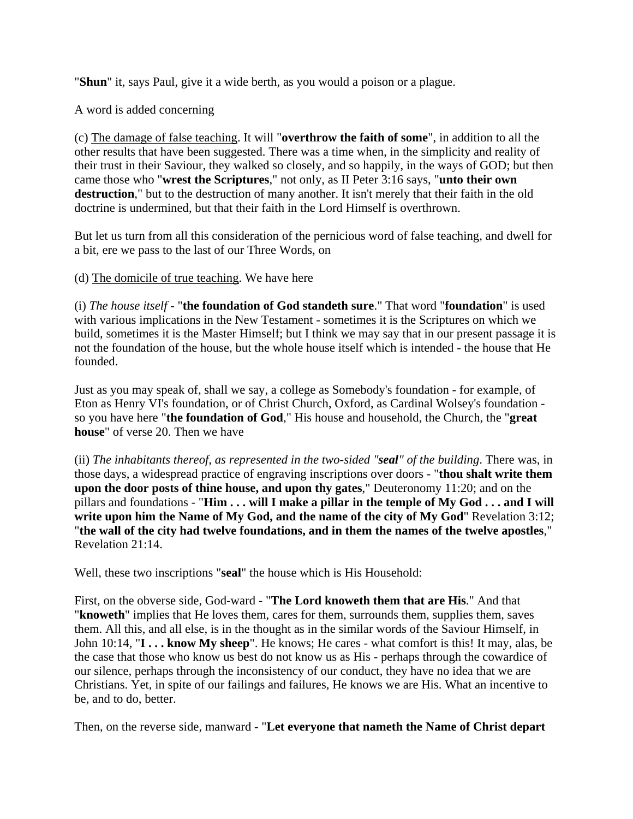"**Shun**" it, says Paul, give it a wide berth, as you would a poison or a plague.

A word is added concerning

(c) The damage of false teaching. It will "**overthrow the faith of some**", in addition to all the other results that have been suggested. There was a time when, in the simplicity and reality of their trust in their Saviour, they walked so closely, and so happily, in the ways of GOD; but then came those who "**wrest the Scriptures**," not only, as II Peter 3:16 says, "**unto their own destruction**," but to the destruction of many another. It isn't merely that their faith in the old doctrine is undermined, but that their faith in the Lord Himself is overthrown.

But let us turn from all this consideration of the pernicious word of false teaching, and dwell for a bit, ere we pass to the last of our Three Words, on

(d) The domicile of true teaching. We have here

(i) *The house itself* - "**the foundation of God standeth sure**." That word "**foundation**" is used with various implications in the New Testament - sometimes it is the Scriptures on which we build, sometimes it is the Master Himself; but I think we may say that in our present passage it is not the foundation of the house, but the whole house itself which is intended - the house that He founded.

Just as you may speak of, shall we say, a college as Somebody's foundation - for example, of Eton as Henry VI's foundation, or of Christ Church, Oxford, as Cardinal Wolsey's foundation so you have here "**the foundation of God**," His house and household, the Church, the "**great house**" of verse 20. Then we have

(ii) *The inhabitants thereof, as represented in the two-sided "seal" of the building*. There was, in those days, a widespread practice of engraving inscriptions over doors - "**thou shalt write them upon the door posts of thine house, and upon thy gates**," Deuteronomy 11:20; and on the pillars and foundations - "**Him . . . will I make a pillar in the temple of My God . . . and I will**  write upon him the Name of My God, and the name of the city of My God" Revelation 3:12; "**the wall of the city had twelve foundations, and in them the names of the twelve apostles**," Revelation 21:14.

Well, these two inscriptions "**seal**" the house which is His Household:

First, on the obverse side, God-ward - "**The Lord knoweth them that are His**." And that "**knoweth**" implies that He loves them, cares for them, surrounds them, supplies them, saves them. All this, and all else, is in the thought as in the similar words of the Saviour Himself, in John 10:14, "**I . . . know My sheep**". He knows; He cares - what comfort is this! It may, alas, be the case that those who know us best do not know us as His - perhaps through the cowardice of our silence, perhaps through the inconsistency of our conduct, they have no idea that we are Christians. Yet, in spite of our failings and failures, He knows we are His. What an incentive to be, and to do, better.

Then, on the reverse side, manward - "**Let everyone that nameth the Name of Christ depart**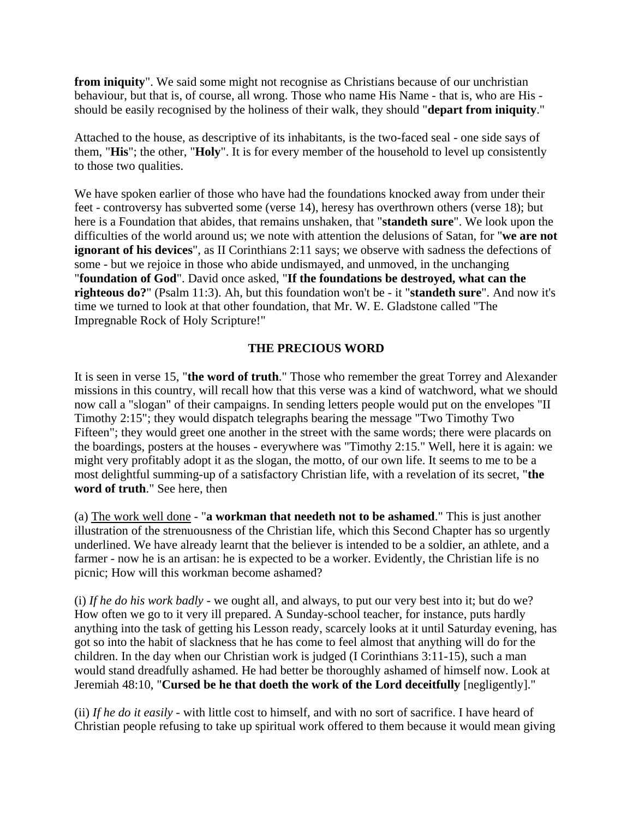**from iniquity**". We said some might not recognise as Christians because of our unchristian behaviour, but that is, of course, all wrong. Those who name His Name - that is, who are His should be easily recognised by the holiness of their walk, they should "**depart from iniquity**."

Attached to the house, as descriptive of its inhabitants, is the two-faced seal - one side says of them, "**His**"; the other, "**Holy**". It is for every member of the household to level up consistently to those two qualities.

We have spoken earlier of those who have had the foundations knocked away from under their feet - controversy has subverted some (verse 14), heresy has overthrown others (verse 18); but here is a Foundation that abides, that remains unshaken, that "**standeth sure**". We look upon the difficulties of the world around us; we note with attention the delusions of Satan, for "**we are not ignorant of his devices**", as II Corinthians 2:11 says; we observe with sadness the defections of some - but we rejoice in those who abide undismayed, and unmoved, in the unchanging "**foundation of God**". David once asked, "**If the foundations be destroyed, what can the righteous do?**" (Psalm 11:3). Ah, but this foundation won't be - it "**standeth sure**". And now it's time we turned to look at that other foundation, that Mr. W. E. Gladstone called "The Impregnable Rock of Holy Scripture!"

## **THE PRECIOUS WORD**

It is seen in verse 15, "**the word of truth**." Those who remember the great Torrey and Alexander missions in this country, will recall how that this verse was a kind of watchword, what we should now call a "slogan" of their campaigns. In sending letters people would put on the envelopes "II Timothy 2:15"; they would dispatch telegraphs bearing the message "Two Timothy Two Fifteen"; they would greet one another in the street with the same words; there were placards on the boardings, posters at the houses - everywhere was "Timothy 2:15." Well, here it is again: we might very profitably adopt it as the slogan, the motto, of our own life. It seems to me to be a most delightful summing-up of a satisfactory Christian life, with a revelation of its secret, "**the word of truth**." See here, then

(a) The work well done - "**a workman that needeth not to be ashamed**." This is just another illustration of the strenuousness of the Christian life, which this Second Chapter has so urgently underlined. We have already learnt that the believer is intended to be a soldier, an athlete, and a farmer - now he is an artisan: he is expected to be a worker. Evidently, the Christian life is no picnic; How will this workman become ashamed?

(i) *If he do his work badly* - we ought all, and always, to put our very best into it; but do we? How often we go to it very ill prepared. A Sunday-school teacher, for instance, puts hardly anything into the task of getting his Lesson ready, scarcely looks at it until Saturday evening, has got so into the habit of slackness that he has come to feel almost that anything will do for the children. In the day when our Christian work is judged (I Corinthians 3:11-15), such a man would stand dreadfully ashamed. He had better be thoroughly ashamed of himself now. Look at Jeremiah 48:10, "**Cursed be he that doeth the work of the Lord deceitfully** [negligently]."

(ii) *If he do it easily* - with little cost to himself, and with no sort of sacrifice. I have heard of Christian people refusing to take up spiritual work offered to them because it would mean giving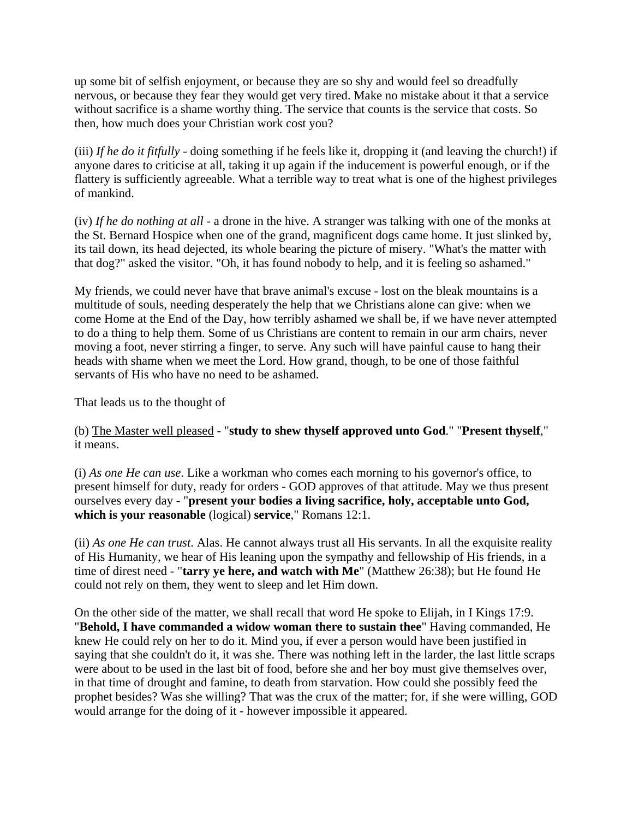up some bit of selfish enjoyment, or because they are so shy and would feel so dreadfully nervous, or because they fear they would get very tired. Make no mistake about it that a service without sacrifice is a shame worthy thing. The service that counts is the service that costs. So then, how much does your Christian work cost you?

(iii) *If he do it fitfully* - doing something if he feels like it, dropping it (and leaving the church!) if anyone dares to criticise at all, taking it up again if the inducement is powerful enough, or if the flattery is sufficiently agreeable. What a terrible way to treat what is one of the highest privileges of mankind.

(iv) *If he do nothing at all* - a drone in the hive. A stranger was talking with one of the monks at the St. Bernard Hospice when one of the grand, magnificent dogs came home. It just slinked by, its tail down, its head dejected, its whole bearing the picture of misery. "What's the matter with that dog?" asked the visitor. "Oh, it has found nobody to help, and it is feeling so ashamed."

My friends, we could never have that brave animal's excuse - lost on the bleak mountains is a multitude of souls, needing desperately the help that we Christians alone can give: when we come Home at the End of the Day, how terribly ashamed we shall be, if we have never attempted to do a thing to help them. Some of us Christians are content to remain in our arm chairs, never moving a foot, never stirring a finger, to serve. Any such will have painful cause to hang their heads with shame when we meet the Lord. How grand, though, to be one of those faithful servants of His who have no need to be ashamed.

That leads us to the thought of

(b) The Master well pleased - "**study to shew thyself approved unto God**." "**Present thyself**," it means.

(i) *As one He can use*. Like a workman who comes each morning to his governor's office, to present himself for duty, ready for orders - GOD approves of that attitude. May we thus present ourselves every day - "**present your bodies a living sacrifice, holy, acceptable unto God, which is your reasonable** (logical) **service**," Romans 12:1.

(ii) *As one He can trust*. Alas. He cannot always trust all His servants. In all the exquisite reality of His Humanity, we hear of His leaning upon the sympathy and fellowship of His friends, in a time of direst need - "**tarry ye here, and watch with Me**" (Matthew 26:38); but He found He could not rely on them, they went to sleep and let Him down.

On the other side of the matter, we shall recall that word He spoke to Elijah, in I Kings 17:9. "**Behold, I have commanded a widow woman there to sustain thee**" Having commanded, He knew He could rely on her to do it. Mind you, if ever a person would have been justified in saying that she couldn't do it, it was she. There was nothing left in the larder, the last little scraps were about to be used in the last bit of food, before she and her boy must give themselves over, in that time of drought and famine, to death from starvation. How could she possibly feed the prophet besides? Was she willing? That was the crux of the matter; for, if she were willing, GOD would arrange for the doing of it - however impossible it appeared.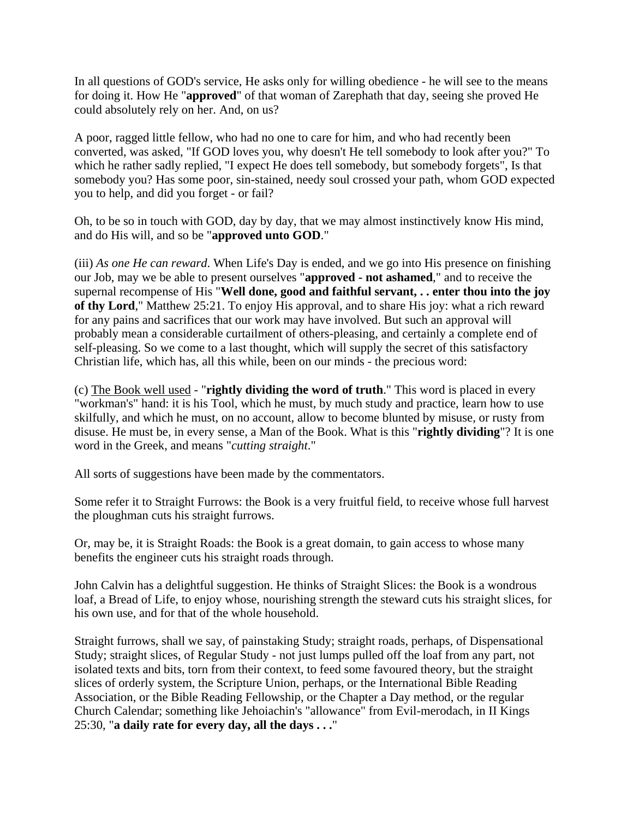In all questions of GOD's service, He asks only for willing obedience - he will see to the means for doing it. How He "**approved**" of that woman of Zarephath that day, seeing she proved He could absolutely rely on her. And, on us?

A poor, ragged little fellow, who had no one to care for him, and who had recently been converted, was asked, "If GOD loves you, why doesn't He tell somebody to look after you?" To which he rather sadly replied, "I expect He does tell somebody, but somebody forgets", Is that somebody you? Has some poor, sin-stained, needy soul crossed your path, whom GOD expected you to help, and did you forget - or fail?

Oh, to be so in touch with GOD, day by day, that we may almost instinctively know His mind, and do His will, and so be "**approved unto GOD**."

(iii) *As one He can reward*. When Life's Day is ended, and we go into His presence on finishing our Job, may we be able to present ourselves "**approved - not ashamed**," and to receive the supernal recompense of His "**Well done, good and faithful servant, . . enter thou into the joy of thy Lord**," Matthew 25:21. To enjoy His approval, and to share His joy: what a rich reward for any pains and sacrifices that our work may have involved. But such an approval will probably mean a considerable curtailment of others-pleasing, and certainly a complete end of self-pleasing. So we come to a last thought, which will supply the secret of this satisfactory Christian life, which has, all this while, been on our minds - the precious word:

(c) The Book well used - "**rightly dividing the word of truth**." This word is placed in every "workman's" hand: it is his Tool, which he must, by much study and practice, learn how to use skilfully, and which he must, on no account, allow to become blunted by misuse, or rusty from disuse. He must be, in every sense, a Man of the Book. What is this "**rightly dividing**"? It is one word in the Greek, and means "*cutting straight*."

All sorts of suggestions have been made by the commentators.

Some refer it to Straight Furrows: the Book is a very fruitful field, to receive whose full harvest the ploughman cuts his straight furrows.

Or, may be, it is Straight Roads: the Book is a great domain, to gain access to whose many benefits the engineer cuts his straight roads through.

John Calvin has a delightful suggestion. He thinks of Straight Slices: the Book is a wondrous loaf, a Bread of Life, to enjoy whose, nourishing strength the steward cuts his straight slices, for his own use, and for that of the whole household.

Straight furrows, shall we say, of painstaking Study; straight roads, perhaps, of Dispensational Study; straight slices, of Regular Study - not just lumps pulled off the loaf from any part, not isolated texts and bits, torn from their context, to feed some favoured theory, but the straight slices of orderly system, the Scripture Union, perhaps, or the International Bible Reading Association, or the Bible Reading Fellowship, or the Chapter a Day method, or the regular Church Calendar; something like Jehoiachin's "allowance" from Evil-merodach, in II Kings 25:30, "**a daily rate for every day, all the days . . .**"